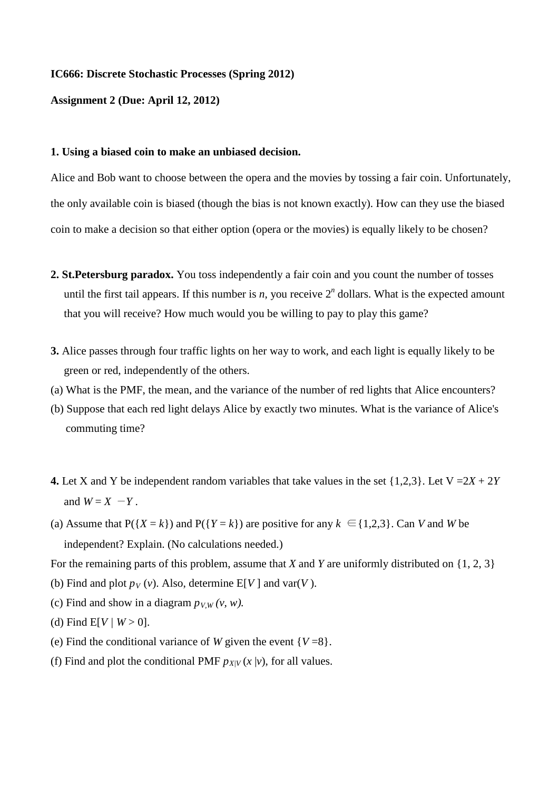## **IC666: Discrete Stochastic Processes (Spring 2012)**

**Assignment 2 (Due: April 12, 2012)**

## **1. Using a biased coin to make an unbiased decision.**

Alice and Bob want to choose between the opera and the movies by tossing a fair coin. Unfortunately, the only available coin is biased (though the bias is not known exactly). How can they use the biased coin to make a decision so that either option (opera or the movies) is equally likely to be chosen?

- **2. St.Petersburg paradox.** You toss independently a fair coin and you count the number of tosses until the first tail appears. If this number is  $n$ , you receive  $2<sup>n</sup>$  dollars. What is the expected amount that you will receive? How much would you be willing to pay to play this game?
- **3.** Alice passes through four traffic lights on her way to work, and each light is equally likely to be green or red, independently of the others.
- (a) What is the PMF, the mean, and the variance of the number of red lights that Alice encounters?
- (b) Suppose that each red light delays Alice by exactly two minutes. What is the variance of Alice's commuting time?
- **4.** Let X and Y be independent random variables that take values in the set  $\{1,2,3\}$ . Let  $V = 2X + 2Y$ and  $W = X - Y$ .
- (a) Assume that  $P({X = k})$  and  $P({Y = k})$  are positive for any  $k \in {1,2,3}$ . Can *V* and *W* be independent? Explain. (No calculations needed.)

For the remaining parts of this problem, assume that *X* and *Y* are uniformly distributed on {1, 2, 3}

- (b) Find and plot  $p_V(v)$ . Also, determine E[V] and var(*V*).
- (c) Find and show in a diagram  $p_{V,W}(v, w)$ .
- (d) Find  $E[V/W > 0]$ .
- (e) Find the conditional variance of *W* given the event  ${V=8}$ .
- (f) Find and plot the conditional PMF  $p_{X/V}(x | v)$ , for all values.